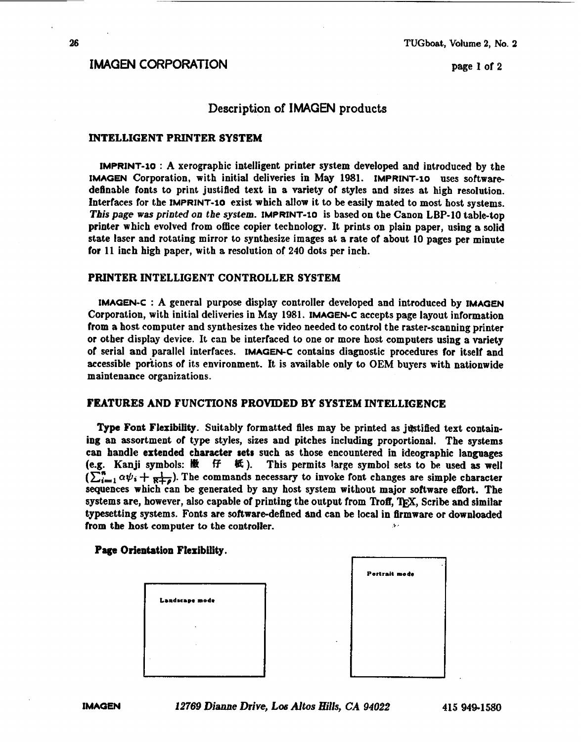# **IMAGEN CORPORATION**

page **1** of 2

## **Description of IMAGEN products**

## **INTELLIGENT PRINTER SYSTEM**

IMPRINT-10 : **A** xerographic intelligent printer system developed and introduced by the IMAGEN Corporation, with initial deliveries in May 1981. IMPRINT-10 uses softwaredefinable fonts to print justified text in a variety of styles and sizes at high resolution. Interfaces for the IMPRINT-10 exist which dlow it to be easily mated to most bost systems. **This** page **was printed** *on the system.* IMPRINT-10 is based on the Canon LBP-10 table-top printer which evolved from office copier technology. It prints on plain paper, using a solid state laser and rotating mirror to synthesize images at a rate of about 10 pages per minute for 11 inch high paper, with a resolution of 240 dots per inch.

### **PRINTER INTELLIGENT CONTROLLER SYSTEM**

IMAGEN-c : A general purpose display controller developed and introduced by IMAQEN Corporation, with initial deliveries in May 1981. IMAGEN-C accepts page layout information from a host computer and synthesizes the video needed to control the raster-scanning printer or other display device. It can be interfaced to one or more host computers using a variety of serial and parallel interfaces. IMAGEN-C contains diagnostic procedures for itself and accessible portions of its environment. It is available only to OEM buyers with nationwide maintenance organizations.

#### **FEATURES AND FUNCTIONS PROWED BY SYSTEM INTELLIGENCE**

**Type Font Flexibility.** Suitably formatted files may be printed as justified text containing an assortment of type styles, sizes and pitches including proportional. The systems can handle extended character sets such as those encountered in ideographic languages (e.g. Kanji symbols:  $\mathbb{R}$   $\mathbb{H}$   $\mathbb{H}$ ). This permits large symbol sets to be used as well  $\sum_{i=1}^{n} \alpha \psi_i + \frac{1}{R+e}$ . The commands necessary to invoke font changes are simple character sequences which can be generated by any host system without major software eflort. The systems are, however, also capable of printing the output from Troff,  $T_F X$ , Scribe and similar typesetting systems. Fonts are software-defined **dnd** can be tocal in firmware or downloaded from the host computer to the controller.

#### Page Orientation Flexibility.

| Landscape mode |  |
|----------------|--|
| ٠              |  |
| ×,             |  |
| ٠              |  |